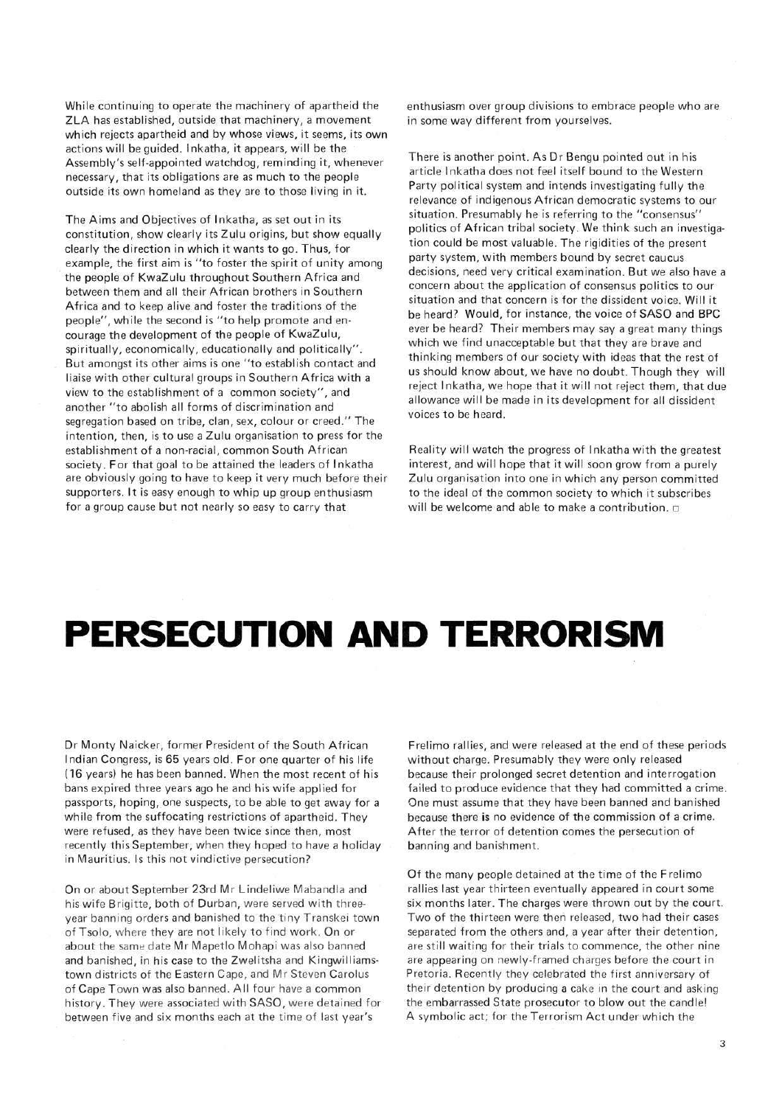While continuing to operate the machinery of apartheid the ZLA has established, outside that machinery, a movement which rejects apartheid and by whose views, it seems, its own actions will be guided. Inkatha, it appears, will be the Assembly's seif-appointed watchdog, reminding it, whenever necessary, that its obligations are as much to the people outside its own homeland as they are to those living in it.

The Aims and Objectives of Inkatha, as set out in its constitution, show clearly its Zulu origins, but show equally clearly the direction in which it wants to go. Thus, for example, the first aim is "to foster the spirit of unity among the people of KwaZulu throughout Southern Africa and between them and all their African brothers in Southern Africa and to keep alive and foster the traditions of the people", while the second is "to help promote and encourage the development of the people of KwaZulu, spiritually, economically, educationally and politically". But amongst its other aims is one "to establish contact and liaise with other cultural groups in Southern Africa with a view to the establishment of a common society", and another "to abolish all forms of discrimination and segregation based on tribe, clan, sex, colour or creed." The intention, then, is to use a Zulu organisation to press for the establishment of a non-racial, common South African society. For that goal to be attained the leaders of Inkatha are obviously going to have to keep it very much before their supporters. It is easy enough to whip up group enthusiasm for a group cause but not nearly so easy to carry that

enthusiasm over group divisions to embrace people who are in some way different from yourselves,

There is another point. As Dr Bengu pointed out in his article Inkatha does not feel itself bound to the Western Party political system and intends investigating fully the relevance of indigenous African democratic systems to our situation. Presumably he is referring to the "consensus" politics of African tribal society. We think such an investigation could be most valuable. The rigidities of the present party system, with members bound by secret caucus decisions, need very critical examination. But we also have a concern about the application of consensus politics to our situation and that concern is for the dissident voice. Will it be heard? Would, for instance, the voice of SASO and BPC ever be heard? Their members may say a great many things which we find unacceptable but that they are brave and thinking members of our society with ideas that the rest of us should know about, we have no doubt. Though they will reject Inkatha, we hope that it will not reject them, that due allowance will be made in its development for all dissident voices to be heard.

Reality will watch the progress of Inkatha with the greatest interest, and will hope that it will soon grow from a purely Zulu organisation into one in which any person committed to the ideal of the common society to which it subscribes will be welcome and able to make a contribution.  $\Box$ 

## **PERSECUTION AND TERRORISM**

Dr Monty Naicker, former President of the South African Indian Congress, is 65 years old. For one quarter of his life (16 years) he has been banned. When the most recent of his bans expired three years ago he and his wife applied for passports, hoping, one suspects, to be able to get away for a while from the suffocating restrictions of apartheid. They were refused, as they have been twice since then, most recently this September, when they hoped to have a holiday in Mauritius. Is this not vindictive persecution?

On or about September 23rd Mr Lindeliwe Mabandla and his wife Brigitte, both of Durban, were served with threeyear banning orders and banished to the tiny Transkei town of Tsolo, where they are not likely to find work. On or about the same date Mr Mapetlo Mohapi was also banned and banished, in his case to the Zwelitsha and Kingwilliamstown districts of the Eastern Cape, and Mr Steven Carolus of Cape Town was also banned. All four have a common history. They were associated with SASO, were detained for between five and six months each at the time of last year's

Frelimo rallies, and were released at the end of these periods without charge. Presumably they were only released because their prolonged secret detention and interrogation failed to produce evidence that they had committed a crime. One must assume that they have been banned and banished because there is no evidence of the commission of a crime. After the terror of detention comes the persecution of banning and banishment.

Of the many people detained at the time of the Frelimo rallies last year thirteen eventually appeared in court some six months later. The charges were thrown out by the court. Two of the thirteen were then released, two had their cases separated from the others and, a year after their detention, are still waiting for their trials to commence, the other nine are appearing on newly-framed charges before the court in Pretoria. Recently they celebrated the first anniversary of their detention by producing a cake in the court and asking the embarrassed State prosecutor to blow out the candle! A symbolic act; for the Terrorism Act under which the